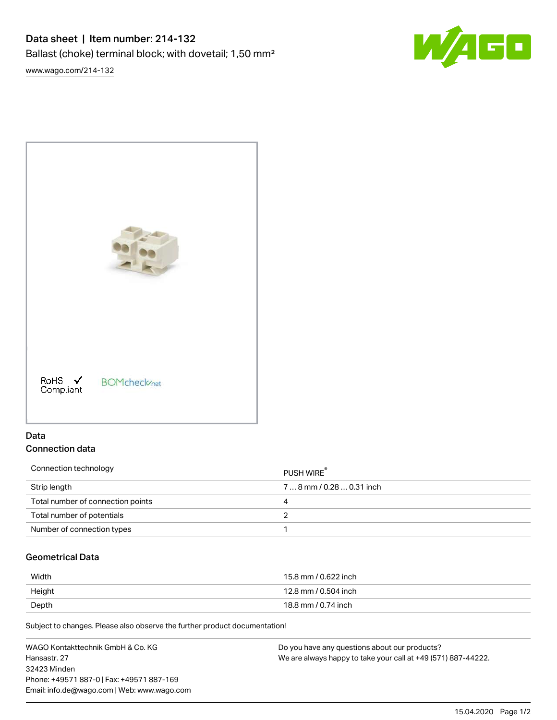# Data sheet | Item number: 214-132 Ballast (choke) terminal block; with dovetail; 1,50 mm²

[www.wago.com/214-132](http://www.wago.com/214-132)





# Data Connection data

| Connection technology             | PUSH WIRE <sup>®</sup> |
|-----------------------------------|------------------------|
| Strip length                      | 78 mm / 0.28 0.31 inch |
| Total number of connection points | 4                      |
| Total number of potentials        |                        |
| Number of connection types        |                        |

# Geometrical Data

| Width  | 15.8 mm / 0.622 inch |
|--------|----------------------|
| Height | 12.8 mm / 0.504 inch |
| Depth  | 18.8 mm / 0.74 inch  |

Subject to changes. Please also observe the further product documentation!

| WAGO Kontakttechnik GmbH & Co. KG           | Do you have any questions about our products?                 |
|---------------------------------------------|---------------------------------------------------------------|
| Hansastr, 27                                | We are always happy to take your call at +49 (571) 887-44222. |
| 32423 Minden                                |                                                               |
| Phone: +49571 887-0   Fax: +49571 887-169   |                                                               |
| Email: info.de@wago.com   Web: www.wago.com |                                                               |